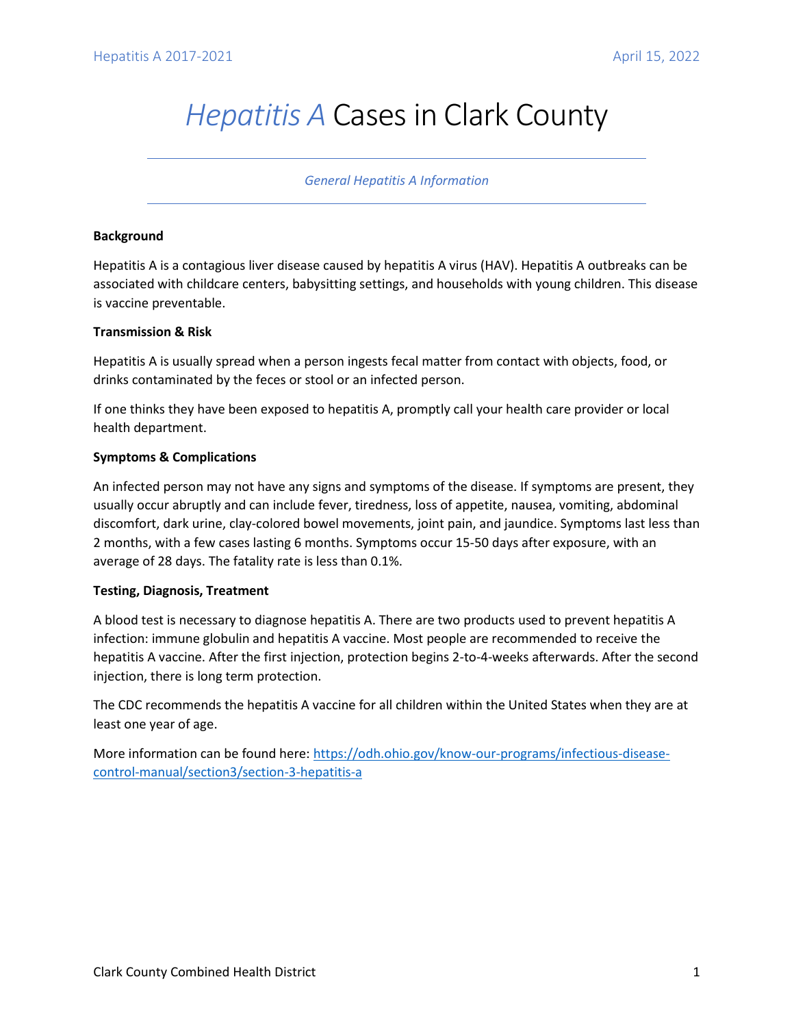# *Hepatitis A* Cases in Clark County

#### *General Hepatitis A Information*

### **Background**

Hepatitis A is a contagious liver disease caused by hepatitis A virus (HAV). Hepatitis A outbreaks can be associated with childcare centers, babysitting settings, and households with young children. This disease is vaccine preventable.

### **Transmission & Risk**

Hepatitis A is usually spread when a person ingests fecal matter from contact with objects, food, or drinks contaminated by the feces or stool or an infected person.

If one thinks they have been exposed to hepatitis A, promptly call your health care provider or local health department.

## **Symptoms & Complications**

An infected person may not have any signs and symptoms of the disease. If symptoms are present, they usually occur abruptly and can include fever, tiredness, loss of appetite, nausea, vomiting, abdominal discomfort, dark urine, clay-colored bowel movements, joint pain, and jaundice. Symptoms last less than 2 months, with a few cases lasting 6 months. Symptoms occur 15-50 days after exposure, with an average of 28 days. The fatality rate is less than 0.1%.

#### **Testing, Diagnosis, Treatment**

A blood test is necessary to diagnose hepatitis A. There are two products used to prevent hepatitis A infection: immune globulin and hepatitis A vaccine. Most people are recommended to receive the hepatitis A vaccine. After the first injection, protection begins 2-to-4-weeks afterwards. After the second injection, there is long term protection.

The CDC recommends the hepatitis A vaccine for all children within the United States when they are at least one year of age.

More information can be found here[: https://odh.ohio.gov/know-our-programs/infectious-disease](https://odh.ohio.gov/know-our-programs/infectious-disease-control-manual/section3/section-3-hepatitis-a)[control-manual/section3/section-3-hepatitis-a](https://odh.ohio.gov/know-our-programs/infectious-disease-control-manual/section3/section-3-hepatitis-a)